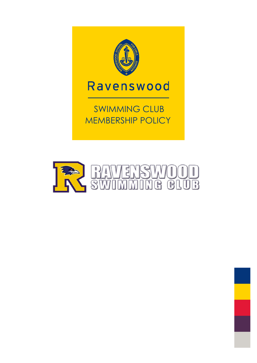

## Ravenswood

 SWIMMING CLUB MEMBERSHIP POLICY



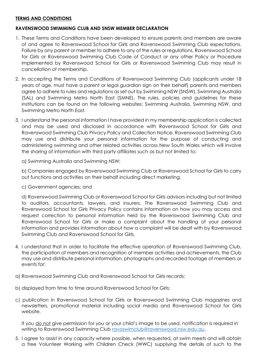## **TERMS AND CONDITIONS**

## **RAVENSWOOD SWIMMING CLUB AND SNSW MEMBER DECLARATION**

- 1. These Terms and Conditions have been developed to ensure parents and members are aware of and agree to Ravenswood School for Girls and Ravenswood Swimming Club expectations. Failure by any parent or member to adhere to any of the rules or regulations, Ravenswood School for Girls or Ravenswood Swimming Club Code of Conduct or any other Policy or Procedure implemented by Ravenswood School for Girls or Ravenswood Swimming Club may result in cancellation of membership.
- 2. In accepting the Terms and Conditions of Ravenswood Swimming Club (applicants under 18 years of age, must have a parent or legal guardian sign on their behalf) parents and members agree to adhere to rules and regulations as set out by Swimming NSW (SNSW), Swimming Australia (SAL) and Swimming Metro North East (SMNE). The rules, policies and guidelines for these institutions can be found on the following websites: Swimming Australia, Swimming NSW, and Swimming Metro North East.
- 3. I understand the personal information I have provided in my membership application is collected and may be used and disclosed in accordance with Ravenswood School for Girls and Ravenswood Swimming Club Privacy Policy and Collection Notice. Ravenswood Swimming Club may use and distribute your personal information for the purpose of conducting and administering swimming and other related activities across New South Wales which will involve the sharing of information with third party affiliates such as but not limited to:

a) Swimming Australia and Swimming NSW;

b) Companies engaged by Ravenswood Swimming Club or Ravenswood School for Girls to carry out functions and activities on their behalf including direct marketing.

c) Government agencies; and

d) Ravenswood Swimming Club or Ravenswood School for Girls advisors including but not limited to auditors, accountants, lawyers, and insurers. The Ravenswood Swimming Club and Ravenswood School for Girls Privacy Policy contains information on how you may access and request correction to personal information held by the Ravenswood Swimming Club and Ravenswood School for Girls or make a complaint about the handling of your personal information and provides information about how a complaint will be dealt with by Ravenswood Swimming Club and Ravenswood School for Girls.

- 4. I understand that in order to facilitate the effective operation of Ravenswood Swimming Club, the participation of members and recognition of member activities and achievements, the Club may use and distribute personal information, photographs and recorded footage of members or events for:
- a) Ravenswood Swimming Club and Ravenswood School for Girls records;
- b) displayed from time to time around Ravenswood School for Girls;
- c) publication in Ravenswood School for Girls or Ravenswood Swimming Club magazines and newsletters, promotional material including social media and Ravenswood School for Girls website.

If you do not give permission for you or your child's image to be used, notification is required in writing to Ravenswood Swimming Club [ravoswimclub@ravenswood.nsw.edu.au.](mailto:ravoswimclub@ravenswood.nsw.edu.au)

5. I agree to assist in any capacity where possible, when requested, at swim meets and will obtain a free Volunteer Working with Children Check (WWC) supplying the details of such to the